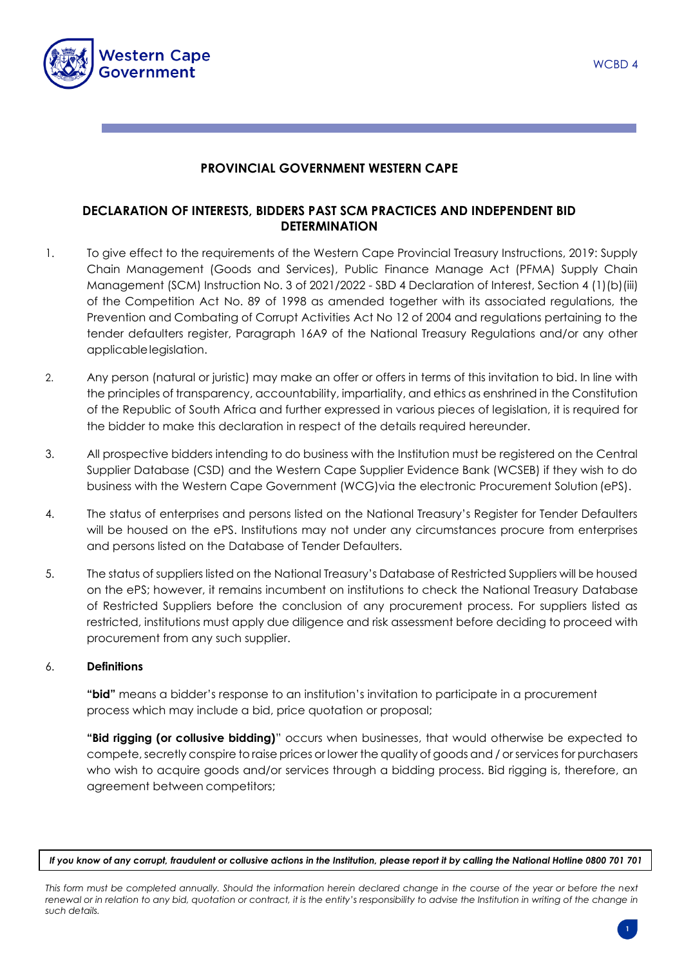

## **PROVINCIAL GOVERNMENT WESTERN CAPE**

# **DECLARATION OF INTERESTS, BIDDERS PAST SCM PRACTICES AND INDEPENDENT BID DETERMINATION**

- 1. To give effect to the requirements of the Western Cape Provincial Treasury Instructions, 2019: Supply Chain Management (Goods and Services), Public Finance Manage Act (PFMA) Supply Chain Management (SCM) Instruction No. 3 of 2021/2022 - SBD 4 Declaration of Interest, Section 4 (1)(b)(iii) of the Competition Act No. 89 of 1998 as amended together with its associated regulations, the Prevention and Combating of Corrupt Activities Act No 12 of 2004 and regulations pertaining to the tender defaulters register, Paragraph 16A9 of the National Treasury Regulations and/or any other applicablelegislation.
- 2. Any person (natural or juristic) may make an offer or offers in terms of this invitation to bid. In line with the principles of transparency, accountability, impartiality, and ethics as enshrined in the Constitution of the Republic of South Africa and further expressed in various pieces of legislation, it is required for the bidder to make this declaration in respect of the details required hereunder.
- 3. All prospective bidders intending to do business with the Institution must be registered on the Central Supplier Database (CSD) and the Western Cape Supplier Evidence Bank (WCSEB) if they wish to do business with the Western Cape Government (WCG)via the electronic Procurement Solution (ePS).
- 4. The status of enterprises and persons listed on the National Treasury's Register for Tender Defaulters will be housed on the ePS. Institutions may not under any circumstances procure from enterprises and persons listed on the Database of Tender Defaulters.
- 5. The status of suppliers listed on the National Treasury's Database of Restricted Suppliers will be housed on the ePS; however, it remains incumbent on institutions to check the National Treasury Database of Restricted Suppliers before the conclusion of any procurement process. For suppliers listed as restricted, institutions must apply due diligence and risk assessment before deciding to proceed with procurement from any such supplier.

## 6. **Definitions**

**"bid"** means a bidder's response to an institution's invitation to participate in a procurement process which may include a bid, price quotation or proposal;

**"Bid rigging (or collusive bidding)**" occurs when businesses, that would otherwise be expected to compete, secretly conspire to raise prices or lower the quality of goods and / or services for purchasers who wish to acquire goods and/or services through a bidding process. Bid rigging is, therefore, an agreement between competitors;

*If you know of any corrupt, fraudulent or collusive actions in the Institution, please report it by calling the National Hotline 0800 701 701*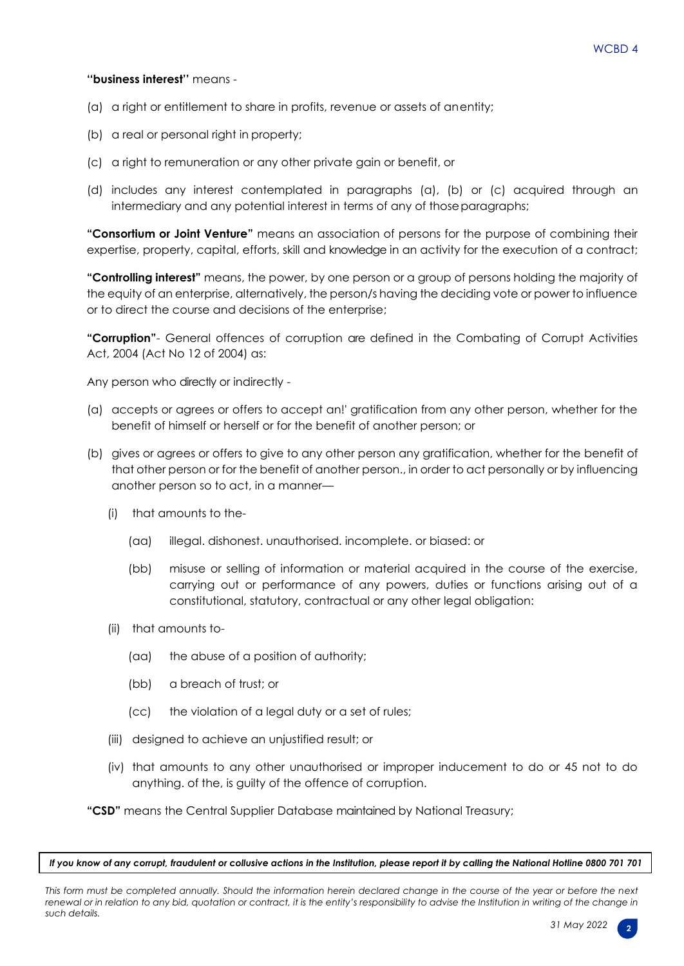#### **''business interest''** means -

- (a) a right or entitlement to share in profits, revenue or assets of anentity;
- (b) a real or personal right in property:
- (c) a right to remuneration or any other private gain or benefit, or
- (d) includes any interest contemplated in paragraphs (a), (b) or (c) acquired through an intermediary and any potential interest in terms of any of thoseparagraphs;

**"Consortium or Joint Venture"** means an association of persons for the purpose of combining their expertise, property, capital, efforts, skill and knowledge in an activity for the execution of a contract;

**"Controlling interest"** means, the power, by one person or a group of persons holding the majority of the equity of an enterprise, alternatively, the person/s having the deciding vote or power to influence or to direct the course and decisions of the enterprise;

**"Corruption"**- General offences of corruption are defined in the Combating of Corrupt Activities Act, 2004 (Act No 12 of 2004) as:

Any person who directly or indirectly -

- (a) accepts or agrees or offers to accept an!' gratification from any other person, whether for the benefit of himself or herself or for the benefit of another person; or
- (b) gives or agrees or offers to give to any other person any gratification, whether for the benefit of that other person or for the benefit of another person., in order to act personally or by influencing another person so to act, in a manner—
	- (i) that amounts to the-
		- (aa) illegal. dishonest. unauthorised. incomplete. or biased: or
		- (bb) misuse or selling of information or material acquired in the course of the exercise, carrying out or performance of any powers, duties or functions arising out of a constitutional, statutory, contractual or any other legal obligation:
	- (ii) that amounts to-
		- (aa) the abuse of a position of authority;
		- (bb) a breach of trust; or
		- (cc) the violation of a legal duty or a set of rules;
	- (iii) designed to achieve an unjustified result; or
	- (iv) that amounts to any other unauthorised or improper inducement to do or 45 not to do anything. of the, is guilty of the offence of corruption.

**"CSD"** means the Central Supplier Database maintained by National Treasury;

*If you know of any corrupt, fraudulent or collusive actions in the Institution, please report it by calling the National Hotline 0800 701 701*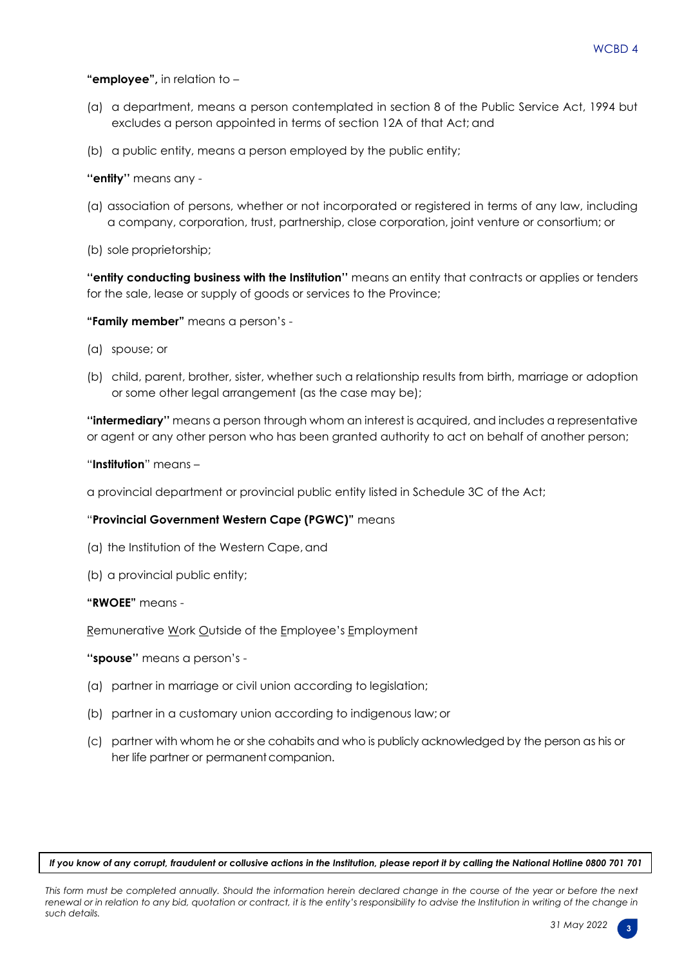#### **"employee",** in relation to –

- (a) a department, means a person contemplated in section 8 of the Public Service Act, 1994 but excludes a person appointed in terms of section 12A of that Act; and
- (b) a public entity, means a person employed by the public entity;

#### **''entity''** means any -

- (a) association of persons, whether or not incorporated or registered in terms of any law, including a company, corporation, trust, partnership, close corporation, joint venture or consortium; or
- (b) sole proprietorship;

**''entity conducting business with the Institution''** means an entity that contracts or applies or tenders for the sale, lease or supply of goods or services to the Province;

**"Family member"** means a person's -

- (a) spouse; or
- (b) child, parent, brother, sister, whether such a relationship results from birth, marriage or adoption or some other legal arrangement (as the case may be);

**''intermediary''** means a person through whom an interest is acquired, and includes a representative or agent or any other person who has been granted authority to act on behalf of another person;

"**Institution**" means –

a provincial department or provincial public entity listed in Schedule 3C of the Act;

## "**Provincial Government Western Cape (PGWC)"** means

- (a) the Institution of the Western Cape, and
- (b) a provincial public entity;

#### **"RWOEE"** means -

Remunerative Work Outside of the Employee's Employment

**''spouse''** means a person's -

- (a) partner in marriage or civil union according to legislation;
- (b) partner in a customary union according to indigenous law; or
- (c) partner with whom he or she cohabits and who is publicly acknowledged by the person as his or her life partner or permanent companion.

*If you know of any corrupt, fraudulent or collusive actions in the Institution, please report it by calling the National Hotline 0800 701 701*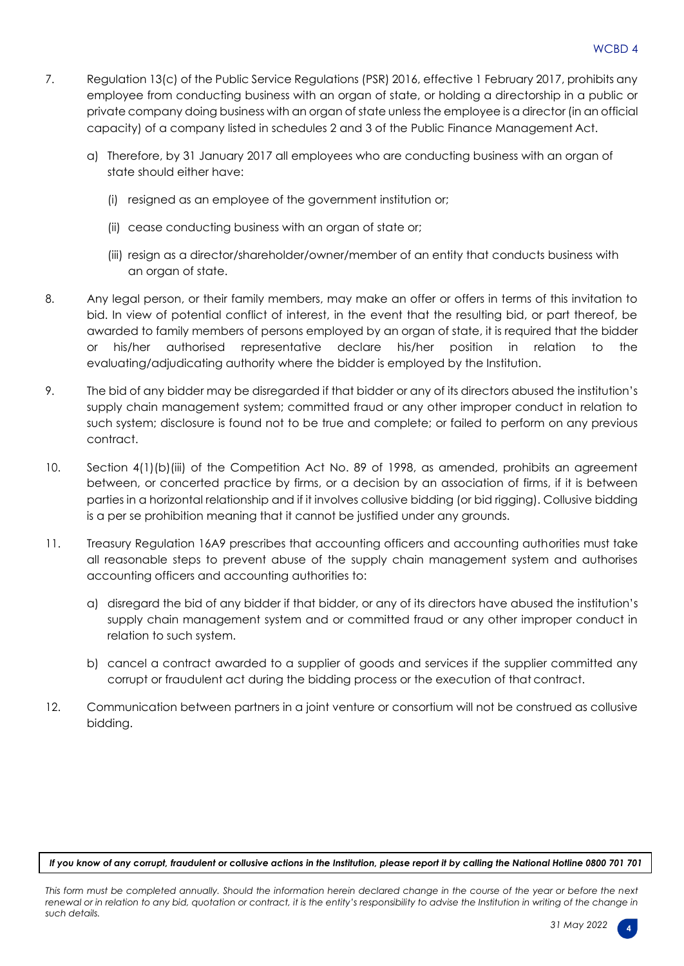- 7. Regulation 13(c) of the Public Service Regulations (PSR) 2016, effective 1 February 2017, prohibits any employee from conducting business with an organ of state, or holding a directorship in a public or private company doing business with an organ of state unless the employee is a director (in an official capacity) of a company listed in schedules 2 and 3 of the Public Finance Management Act.
	- a) Therefore, by 31 January 2017 all employees who are conducting business with an organ of state should either have:
		- (i) resigned as an employee of the government institution or;
		- (ii) cease conducting business with an organ of state or;
		- (iii) resign as a director/shareholder/owner/member of an entity that conducts business with an organ of state.
- 8. Any legal person, or their family members, may make an offer or offers in terms of this invitation to bid. In view of potential conflict of interest, in the event that the resulting bid, or part thereof, be awarded to family members of persons employed by an organ of state, it is required that the bidder or his/her authorised representative declare his/her position in relation to the evaluating/adjudicating authority where the bidder is employed by the Institution.
- 9. The bid of any bidder may be disregarded if that bidder or any of its directors abused the institution's supply chain management system; committed fraud or any other improper conduct in relation to such system; disclosure is found not to be true and complete; or failed to perform on any previous contract.
- 10. Section 4(1)(b)(iii) of the Competition Act No. 89 of 1998, as amended, prohibits an agreement between, or concerted practice by firms, or a decision by an association of firms, if it is between parties in a horizontal relationship and if it involves collusive bidding (or bid rigging). Collusive bidding is a per se prohibition meaning that it cannot be justified under any grounds.
- 11. Treasury Regulation 16A9 prescribes that accounting officers and accounting authorities must take all reasonable steps to prevent abuse of the supply chain management system and authorises accounting officers and accounting authorities to:
	- a) disregard the bid of any bidder if that bidder, or any of its directors have abused the institution's supply chain management system and or committed fraud or any other improper conduct in relation to such system.
	- b) cancel a contract awarded to a supplier of goods and services if the supplier committed any corrupt or fraudulent act during the bidding process or the execution of that contract.
- 12. Communication between partners in a joint venture or consortium will not be construed as collusive bidding.

*If you know of any corrupt, fraudulent or collusive actions in the Institution, please report it by calling the National Hotline 0800 701 701*

*This form must be completed annually. Should the information herein declared change in the course of the year or before the next renewal or in relation to any bid, quotation or contract, it is the entity's responsibility to advise the Institution in writing of the change in such details.*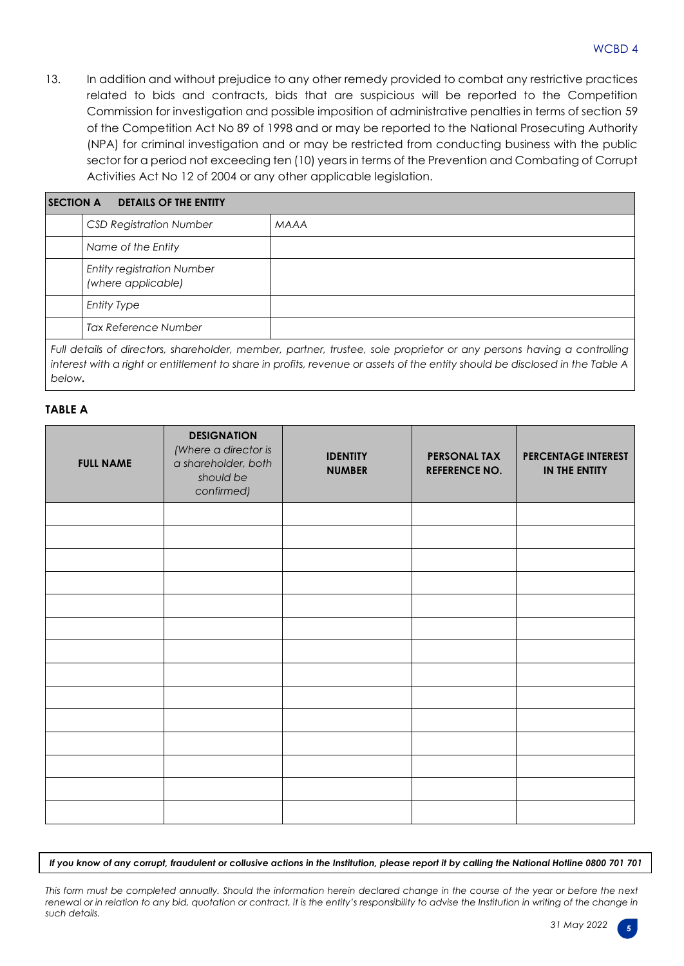13. In addition and without prejudice to any other remedy provided to combat any restrictive practices related to bids and contracts, bids that are suspicious will be reported to the Competition Commission for investigation and possible imposition of administrative penalties in terms of section 59 of the Competition Act No 89 of 1998 and or may be reported to the National Prosecuting Authority (NPA) for criminal investigation and or may be restricted from conducting business with the public sector for a period not exceeding ten (10) years in terms of the Prevention and Combating of Corrupt Activities Act No 12 of 2004 or any other applicable legislation.

| <b>DETAILS OF THE ENTITY</b><br><b>SECTION A</b>        |                                                                                                                       |  |  |  |  |  |
|---------------------------------------------------------|-----------------------------------------------------------------------------------------------------------------------|--|--|--|--|--|
| <b>CSD Registration Number</b>                          | <b>MAAA</b>                                                                                                           |  |  |  |  |  |
| Name of the Entity                                      |                                                                                                                       |  |  |  |  |  |
| <b>Entity registration Number</b><br>(where applicable) |                                                                                                                       |  |  |  |  |  |
| <b>Entity Type</b>                                      |                                                                                                                       |  |  |  |  |  |
| Tax Reference Number                                    |                                                                                                                       |  |  |  |  |  |
|                                                         | Full details of directors, shareholder, member, partner, trustee, sole proprietor or any persons having a controlling |  |  |  |  |  |

*interest with a right or entitlement to share in profits, revenue or assets of the entity should be disclosed in the Table A below.*

#### **TABLE A**

| <b>FULL NAME</b> | <b>DESIGNATION</b><br>(Where a director is<br>a shareholder, both<br>should be<br>confirmed) | <b>IDENTITY</b><br><b>NUMBER</b> | <b>PERSONAL TAX</b><br><b>REFERENCE NO.</b> | <b>PERCENTAGE INTEREST</b><br>IN THE ENTITY |
|------------------|----------------------------------------------------------------------------------------------|----------------------------------|---------------------------------------------|---------------------------------------------|
|                  |                                                                                              |                                  |                                             |                                             |
|                  |                                                                                              |                                  |                                             |                                             |
|                  |                                                                                              |                                  |                                             |                                             |
|                  |                                                                                              |                                  |                                             |                                             |
|                  |                                                                                              |                                  |                                             |                                             |
|                  |                                                                                              |                                  |                                             |                                             |
|                  |                                                                                              |                                  |                                             |                                             |
|                  |                                                                                              |                                  |                                             |                                             |
|                  |                                                                                              |                                  |                                             |                                             |
|                  |                                                                                              |                                  |                                             |                                             |
|                  |                                                                                              |                                  |                                             |                                             |
|                  |                                                                                              |                                  |                                             |                                             |

*If you know of any corrupt, fraudulent or collusive actions in the Institution, please report it by calling the National Hotline 0800 701 701*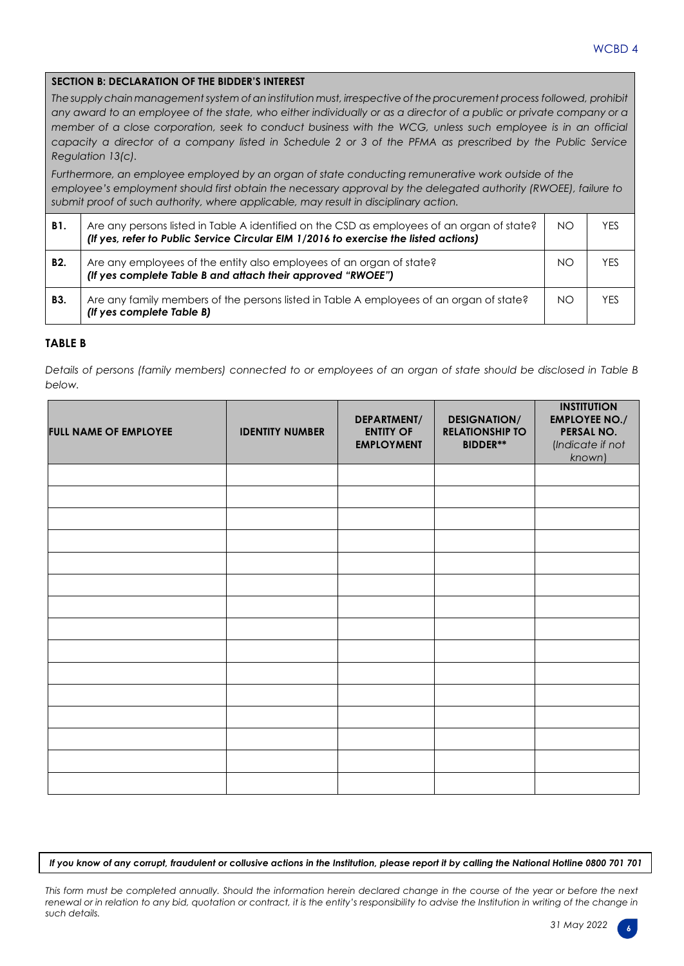## **SECTION B: DECLARATION OF THE BIDDER'S INTEREST**

*Thesupply chainmanagementsystem ofan institution must, irrespective oftheprocurement process followed, prohibit* any award to an employee of the state, who either individually or as a director of a public or private company or a *member of a close corporation, seek to conduct business with the WCG, unless such employee is in an official capacity a director of a company listed in Schedule 2 or 3 of the PFMA as prescribed by the Public Service Regulation 13(c).*

*Furthermore, an employee employed by an organ of state conducting remunerative work outside of the employee's employment should first obtain the necessary approval by the delegated authority (RWOEE), failure to submit proof of such authority, where applicable, may result in disciplinary action.*

| <b>B1.</b>     | Are any persons listed in Table A identified on the CSD as employees of an organ of state?<br>(If yes, refer to Public Service Circular EIM 1/2016 to exercise the listed actions) | <b>NO</b> | YES |
|----------------|------------------------------------------------------------------------------------------------------------------------------------------------------------------------------------|-----------|-----|
| B <sub>2</sub> | Are any employees of the entity also employees of an organ of state?<br>(If yes complete Table B and attach their approved "RWOEE")                                                | NΟ        | YFS |
| B3.            | Are any family members of the persons listed in Table A employees of an organ of state?<br>(If yes complete Table B)                                                               | ΝO        | YFS |

#### **TABLE B**

*Details of persons (family members) connected to or employees of an organ of state should be disclosed in Table B below.*

| <b>FULL NAME OF EMPLOYEE</b> | <b>IDENTITY NUMBER</b> | DEPARTMENT/<br><b>ENTITY OF</b><br><b>EMPLOYMENT</b> | <b>DESIGNATION/</b><br><b>RELATIONSHIP TO</b><br><b>BIDDER**</b> | <b>INSTITUTION</b><br><b>EMPLOYEE NO./</b><br>PERSAL NO.<br>(Indicate if not<br>known) |
|------------------------------|------------------------|------------------------------------------------------|------------------------------------------------------------------|----------------------------------------------------------------------------------------|
|                              |                        |                                                      |                                                                  |                                                                                        |
|                              |                        |                                                      |                                                                  |                                                                                        |
|                              |                        |                                                      |                                                                  |                                                                                        |
|                              |                        |                                                      |                                                                  |                                                                                        |
|                              |                        |                                                      |                                                                  |                                                                                        |
|                              |                        |                                                      |                                                                  |                                                                                        |
|                              |                        |                                                      |                                                                  |                                                                                        |
|                              |                        |                                                      |                                                                  |                                                                                        |
|                              |                        |                                                      |                                                                  |                                                                                        |
|                              |                        |                                                      |                                                                  |                                                                                        |
|                              |                        |                                                      |                                                                  |                                                                                        |
|                              |                        |                                                      |                                                                  |                                                                                        |
|                              |                        |                                                      |                                                                  |                                                                                        |
|                              |                        |                                                      |                                                                  |                                                                                        |
|                              |                        |                                                      |                                                                  |                                                                                        |

*If you know of any corrupt, fraudulent or collusive actions in the Institution, please report it by calling the National Hotline 0800 701 701*

*This form must be completed annually. Should the information herein declared change in the course of the year or before the next renewal or in relation to any bid, quotation or contract, it is the entity's responsibility to advise the Institution in writing of the change in such details.*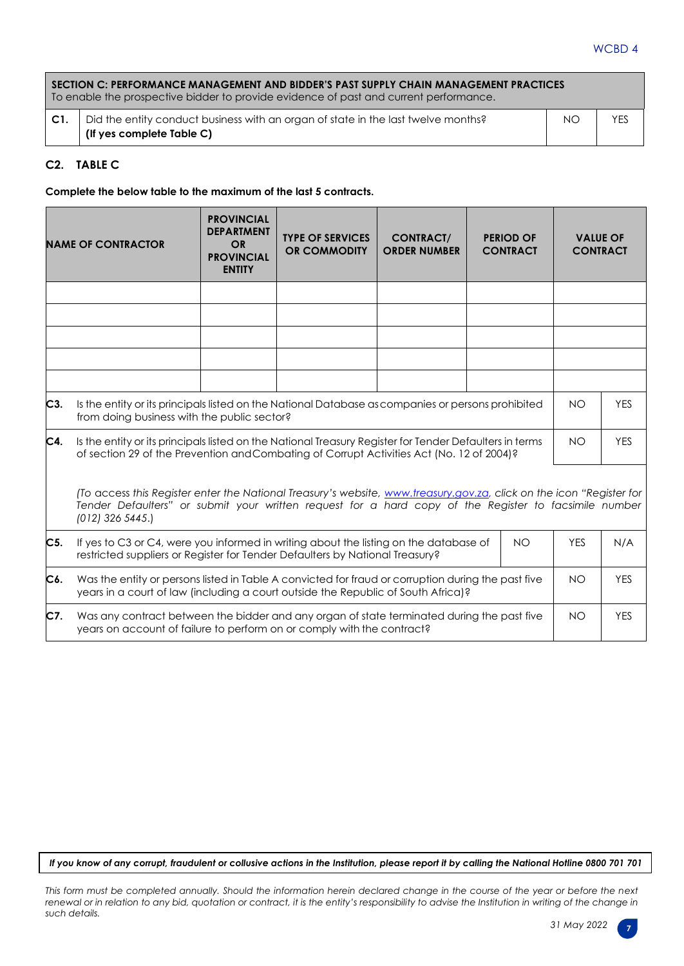## WCBD 4

|                 | SECTION C: PERFORMANCE MANAGEMENT AND BIDDER'S PAST SUPPLY CHAIN MANAGEMENT PRACTICES<br>To enable the prospective bidder to provide evidence of past and current performance. |     |     |  |  |  |
|-----------------|--------------------------------------------------------------------------------------------------------------------------------------------------------------------------------|-----|-----|--|--|--|
| $\mathsf{C}1$ . | Did the entity conduct business with an organ of state in the last twelve months?<br>(If yes complete Table C)                                                                 | NO. | YES |  |  |  |

#### **C2. TABLE C**

**Complete the below table to the maximum of the last 5 contracts.**

|     | <b>NAME OF CONTRACTOR</b>                                                                                                                                                                                                                           | <b>PROVINCIAL</b><br><b>DEPARTMENT</b><br><b>OR</b><br><b>PROVINCIAL</b><br><b>ENTITY</b> | <b>TYPE OF SERVICES</b><br><b>OR COMMODITY</b> | <b>CONTRACT/</b><br><b>ORDER NUMBER</b> |  | <b>PERIOD OF</b><br><b>CONTRACT</b> | <b>VALUE OF</b><br><b>CONTRACT</b> |            |
|-----|-----------------------------------------------------------------------------------------------------------------------------------------------------------------------------------------------------------------------------------------------------|-------------------------------------------------------------------------------------------|------------------------------------------------|-----------------------------------------|--|-------------------------------------|------------------------------------|------------|
|     |                                                                                                                                                                                                                                                     |                                                                                           |                                                |                                         |  |                                     |                                    |            |
|     |                                                                                                                                                                                                                                                     |                                                                                           |                                                |                                         |  |                                     |                                    |            |
|     |                                                                                                                                                                                                                                                     |                                                                                           |                                                |                                         |  |                                     |                                    |            |
|     |                                                                                                                                                                                                                                                     |                                                                                           |                                                |                                         |  |                                     |                                    |            |
|     |                                                                                                                                                                                                                                                     |                                                                                           |                                                |                                         |  |                                     |                                    |            |
| C3. | Is the entity or its principals listed on the National Database as companies or persons prohibited<br>from doing business with the public sector?                                                                                                   |                                                                                           |                                                |                                         |  | <b>NO</b>                           | <b>YES</b>                         |            |
| C4. | Is the entity or its principals listed on the National Treasury Register for Tender Defaulters in terms<br>of section 29 of the Prevention and Combating of Corrupt Activities Act (No. 12 of 2004)?                                                |                                                                                           |                                                |                                         |  | <b>NO</b>                           | <b>YES</b>                         |            |
|     | (To access this Register enter the National Treasury's website, www.treasury.gov.za, click on the icon "Register for<br>Tender Defaulters" or submit your written request for a hard copy of the Register to facsimile number<br>$(012)$ 326 5445.) |                                                                                           |                                                |                                         |  |                                     |                                    |            |
| C5. | If yes to C3 or C4, were you informed in writing about the listing on the database of<br><b>NO</b><br>restricted suppliers or Register for Tender Defaulters by National Treasury?                                                                  |                                                                                           |                                                |                                         |  |                                     | <b>YES</b>                         | N/A        |
| C6. | Was the entity or persons listed in Table A convicted for fraud or corruption during the past five<br>years in a court of law (including a court outside the Republic of South Africa)?                                                             |                                                                                           |                                                |                                         |  |                                     | <b>NO</b>                          | <b>YES</b> |
| C7. | Was any contract between the bidder and any organ of state terminated during the past five<br><b>NO</b><br>years on account of failure to perform on or comply with the contract?                                                                   |                                                                                           |                                                |                                         |  | <b>YES</b>                          |                                    |            |

*If you know of any corrupt, fraudulent or collusive actions in the Institution, please report it by calling the National Hotline 0800 701 701*